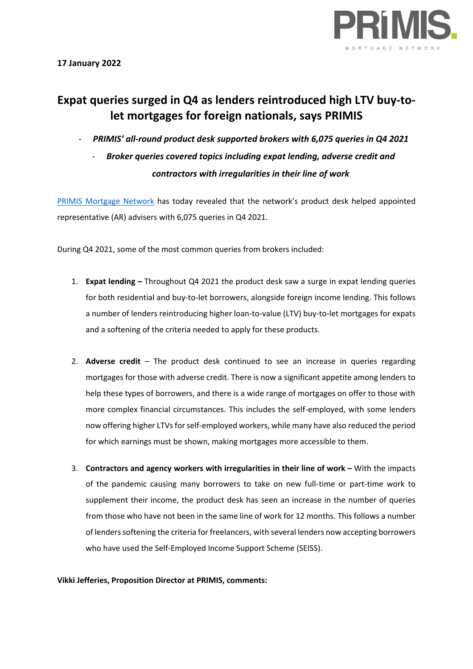

# **Expat queries surged in Q4 as lenders reintroduced high LTV buy-tolet mortgages for foreign nationals, says PRIMIS**

- *PRIMIS' all-round product desk supported brokers with 6,075 queries in Q4 2021*
	- *Broker queries covered topics including expat lending, adverse credit and contractors with irregularities in their line of work*

[PRIMIS Mortgage Network](https://www.primis.co.uk/) has today revealed that the network's product desk helped appointed representative (AR) advisers with 6,075 queries in Q4 2021.

During Q4 2021, some of the most common queries from brokers included:

- 1. **Expat lending –** Throughout Q4 2021 the product desk saw a surge in expat lending queries for both residential and buy-to-let borrowers, alongside foreign income lending. This follows a number of lenders reintroducing higher loan-to-value (LTV) buy-to-let mortgages for expats and a softening of the criteria needed to apply for these products.
- 2. **Adverse credit** The product desk continued to see an increase in queries regarding mortgages for those with adverse credit. There is now a significant appetite among lenders to help these types of borrowers, and there is a wide range of mortgages on offer to those with more complex financial circumstances. This includes the self-employed, with some lenders now offering higher LTVs for self-employed workers, while many have also reduced the period for which earnings must be shown, making mortgages more accessible to them.
- 3. **Contractors and agency workers with irregularities in their line of work –** With the impacts of the pandemic causing many borrowers to take on new full-time or part-time work to supplement their income, the product desk has seen an increase in the number of queries from those who have not been in the same line of work for 12 months. This follows a number of lenders softening the criteria for freelancers, with several lenders now accepting borrowers who have used the Self-Employed Income Support Scheme (SEISS).

## **Vikki Jefferies, Proposition Director at PRIMIS, comments:**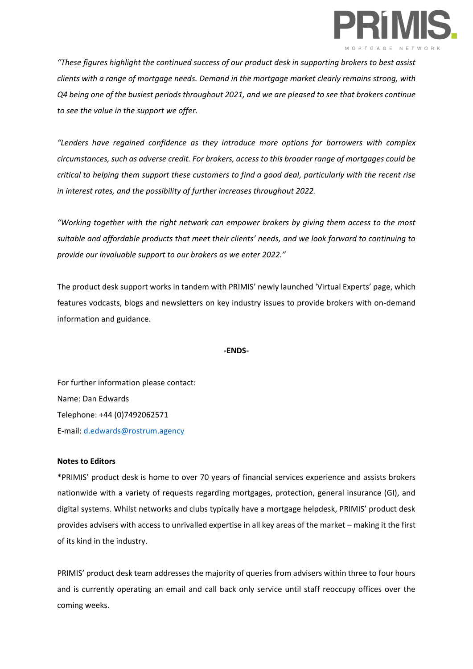

*"These figures highlight the continued success of our product desk in supporting brokers to best assist clients with a range of mortgage needs. Demand in the mortgage market clearly remains strong, with Q4 being one of the busiest periods throughout 2021, and we are pleased to see that brokers continue to see the value in the support we offer.*

*"Lenders have regained confidence as they introduce more options for borrowers with complex circumstances, such as adverse credit. For brokers, access to this broader range of mortgages could be critical to helping them support these customers to find a good deal, particularly with the recent rise in interest rates, and the possibility of further increases throughout 2022.* 

*"Working together with the right network can empower brokers by giving them access to the most suitable and affordable products that meet their clients' needs, and we look forward to continuing to provide our invaluable support to our brokers as we enter 2022."*

The product desk support works in tandem with PRIMIS' newly launched 'Virtual Experts' page, which features vodcasts, blogs and newsletters on key industry issues to provide brokers with on-demand information and guidance.

#### **-ENDS-**

For further information please contact: Name: Dan Edwards Telephone: +44 (0)7492062571 E-mail: [d.edwards@rostrum.agency](mailto:d.edwards@rostrum.agency)

## **Notes to Editors**

\*PRIMIS' product desk is home to over 70 years of financial services experience and assists brokers nationwide with a variety of requests regarding mortgages, protection, general insurance (GI), and digital systems. Whilst networks and clubs typically have a mortgage helpdesk, PRIMIS' product desk provides advisers with access to unrivalled expertise in all key areas of the market – making it the first of its kind in the industry.

PRIMIS' product desk team addresses the majority of queries from advisers within three to four hours and is currently operating an email and call back only service until staff reoccupy offices over the coming weeks.